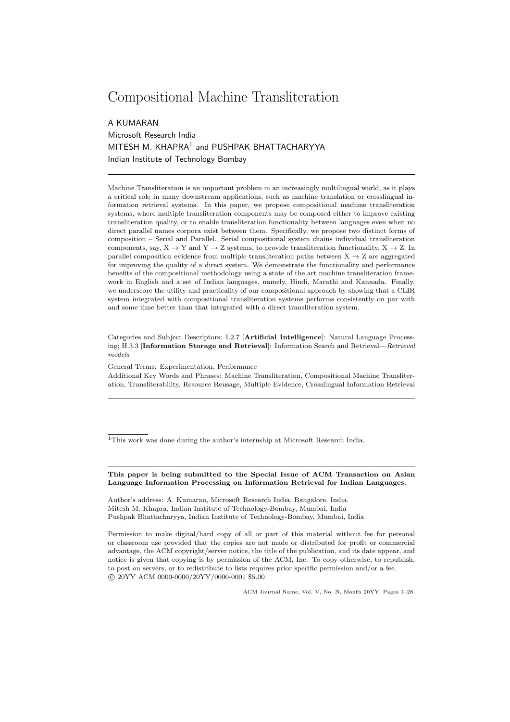# Compositional Machine Transliteration

A KUMARAN Microsoft Research India MITESH M. KHAPRA<sup>1</sup> and PUSHPAK BHATTACHARYYA Indian Institute of Technology Bombay

Machine Transliteration is an important problem in an increasingly multilingual world, as it plays a critical role in many downstream applications, such as machine translation or crosslingual information retrieval systems. In this paper, we propose compositional machine transliteration systems, where multiple transliteration components may be composed either to improve existing transliteration quality, or to enable transliteration functionality between languages even when no direct parallel names corpora exist between them. Specifically, we propose two distinct forms of composition – Serial and Parallel. Serial compositional system chains individual transliteration components, say,  $X \to Y$  and  $Y \to Z$  systems, to provide transliteration functionality,  $X \to Z$ . In parallel composition evidence from multiple transliteration paths between  $X \rightarrow Z$  are aggregated for improving the quality of a direct system. We demonstrate the functionality and performance benefits of the compositional methodology using a state of the art machine transliteration framework in English and a set of Indian languages, namely, Hindi, Marathi and Kannada. Finally, we underscore the utility and practicality of our compositional approach by showing that a CLIR system integrated with compositional transliteration systems performs consistently on par with and some time better than that integrated with a direct transliteration system.

Categories and Subject Descriptors: I.2.7 [Artificial Intelligence]: Natural Language Processing; H.3.3 [Information Storage and Retrieval]: Information Search and Retrieval—*Retrieval models*

General Terms: Experimentation, Performance

Additional Key Words and Phrases: Machine Transliteration, Compositional Machine Transliteration, Transliterability, Resource Reusage, Multiple Evidence, Crosslingual Information Retrieval

<sup>1</sup>This work was done during the author's internship at Microsoft Research India.

This paper is being submitted to the Special Issue of ACM Transaction on Asian Language Information Processing on Information Retrieval for Indian Languages.

Author's address: A. Kumaran, Microsoft Research India, Bangalore, India. Mitesh M. Khapra, Indian Institute of Technology-Bombay, Mumbai, India Pushpak Bhattacharyya, Indian Institute of Technology-Bombay, Mumbai, India

Permission to make digital/hard copy of all or part of this material without fee for personal or classroom use provided that the copies are not made or distributed for profit or commercial advantage, the ACM copyright/server notice, the title of the publication, and its date appear, and notice is given that copying is by permission of the ACM, Inc. To copy otherwise, to republish, to post on servers, or to redistribute to lists requires prior specific permission and/or a fee. ⃝c 20YY ACM 0000-0000/20YY/0000-0001 \$5.00

ACM Journal Name, Vol. V, No. N, Month 20YY, Pages 1–28.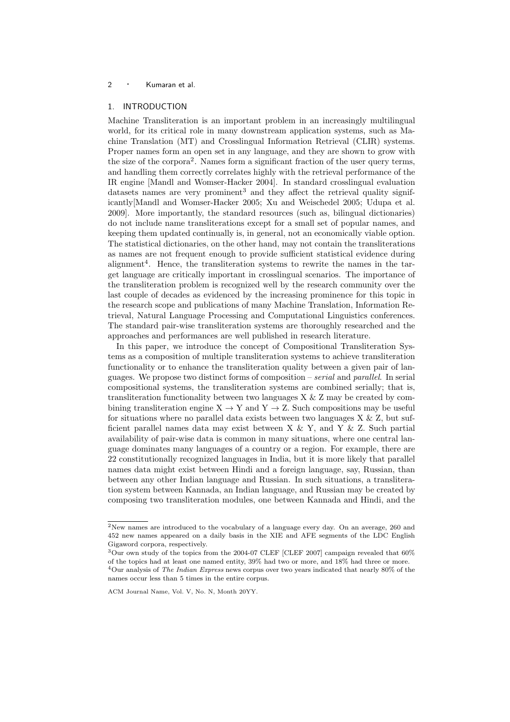## 1. INTRODUCTION

Machine Transliteration is an important problem in an increasingly multilingual world, for its critical role in many downstream application systems, such as Machine Translation (MT) and Crosslingual Information Retrieval (CLIR) systems. Proper names form an open set in any language, and they are shown to grow with the size of the corpora<sup>2</sup>. Names form a significant fraction of the user query terms, and handling them correctly correlates highly with the retrieval performance of the IR engine [Mandl and Womser-Hacker 2004]. In standard crosslingual evaluation datasets names are very prominent<sup>3</sup> and they affect the retrieval quality significantly[Mandl and Womser-Hacker 2005; Xu and Weischedel 2005; Udupa et al. 2009]. More importantly, the standard resources (such as, bilingual dictionaries) do not include name transliterations except for a small set of popular names, and keeping them updated continually is, in general, not an economically viable option. The statistical dictionaries, on the other hand, may not contain the transliterations as names are not frequent enough to provide sufficient statistical evidence during alignment<sup>4</sup>. Hence, the transliteration systems to rewrite the names in the target language are critically important in crosslingual scenarios. The importance of the transliteration problem is recognized well by the research community over the last couple of decades as evidenced by the increasing prominence for this topic in the research scope and publications of many Machine Translation, Information Retrieval, Natural Language Processing and Computational Linguistics conferences. The standard pair-wise transliteration systems are thoroughly researched and the approaches and performances are well published in research literature.

In this paper, we introduce the concept of Compositional Transliteration Systems as a composition of multiple transliteration systems to achieve transliteration functionality or to enhance the transliteration quality between a given pair of languages. We propose two distinct forms of composition – *serial* and *parallel*. In serial compositional systems, the transliteration systems are combined serially; that is, transliteration functionality between two languages X & Z may be created by combining transliteration engine  $X \to Y$  and  $Y \to Z$ . Such compositions may be useful for situations where no parallel data exists between two languages  $X \& Z$ , but sufficient parallel names data may exist between X & Y, and Y & Z. Such partial availability of pair-wise data is common in many situations, where one central language dominates many languages of a country or a region. For example, there are 22 constitutionally recognized languages in India, but it is more likely that parallel names data might exist between Hindi and a foreign language, say, Russian, than between any other Indian language and Russian. In such situations, a transliteration system between Kannada, an Indian language, and Russian may be created by composing two transliteration modules, one between Kannada and Hindi, and the

<sup>2</sup>New names are introduced to the vocabulary of a language every day. On an average, 260 and 452 new names appeared on a daily basis in the XIE and AFE segments of the LDC English Gigaword corpora, respectively.

 $3$ Our own study of the topics from the 2004-07 CLEF [CLEF 2007] campaign revealed that 60% of the topics had at least one named entity, 39% had two or more, and 18% had three or more. <sup>4</sup>Our analysis of *The Indian Express* news corpus over two years indicated that nearly 80% of the

names occur less than 5 times in the entire corpus.

ACM Journal Name, Vol. V, No. N, Month 20YY.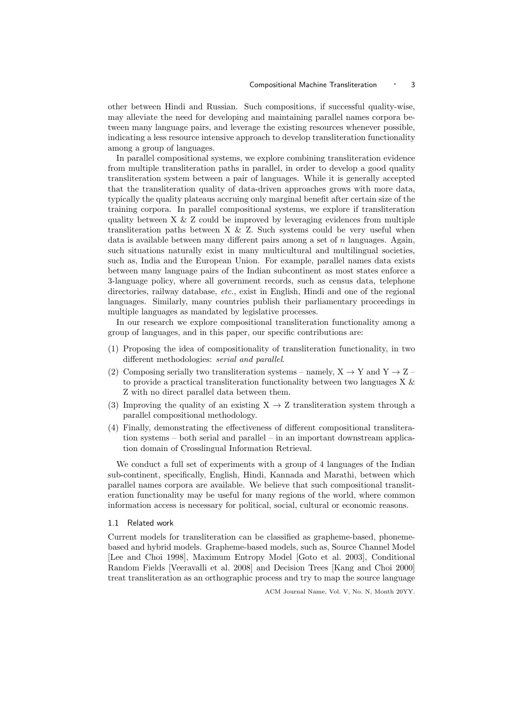other between Hindi and Russian. Such compositions, if successful quality-wise, may alleviate the need for developing and maintaining parallel names corpora between many language pairs, and leverage the existing resources whenever possible, indicating a less resource intensive approach to develop transliteration functionality among a group of languages.

In parallel compositional systems, we explore combining transliteration evidence from multiple transliteration paths in parallel, in order to develop a good quality transliteration system between a pair of languages. While it is generally accepted that the transliteration quality of data-driven approaches grows with more data, typically the quality plateaus accruing only marginal benefit after certain size of the training corpora. In parallel compositional systems, we explore if transliteration quality between  $X \& Z$  could be improved by leveraging evidences from multiple transliteration paths between  $X \& Z$ . Such systems could be very useful when data is available between many different pairs among a set of n languages. Again, such situations naturally exist in many multicultural and multilingual societies, such as, India and the European Union. For example, parallel names data exists between many language pairs of the Indian subcontinent as most states enforce a 3-language policy, where all government records, such as census data, telephone directories, railway database, *etc.*, exist in English, Hindi and one of the regional languages. Similarly, many countries publish their parliamentary proceedings in multiple languages as mandated by legislative processes.

In our research we explore compositional transliteration functionality among a group of languages, and in this paper, our specific contributions are:

- (1) Proposing the idea of compositionality of transliteration functionality, in two different methodologies: *serial and parallel*.
- (2) Composing serially two transliteration systems namely,  $X \rightarrow Y$  and  $Y \rightarrow Z$  to provide a practical transliteration functionality between two languages X & Z with no direct parallel data between them.
- (3) Improving the quality of an existing  $X \rightarrow Z$  transliteration system through a parallel compositional methodology.
- (4) Finally, demonstrating the effectiveness of different compositional transliteration systems – both serial and parallel – in an important downstream application domain of Crosslingual Information Retrieval.

We conduct a full set of experiments with a group of 4 languages of the Indian sub-continent, specifically, English, Hindi, Kannada and Marathi, between which parallel names corpora are available. We believe that such compositional transliteration functionality may be useful for many regions of the world, where common information access is necessary for political, social, cultural or economic reasons.

## 1.1 Related work

Current models for transliteration can be classified as grapheme-based, phonemebased and hybrid models. Grapheme-based models, such as, Source Channel Model [Lee and Choi 1998], Maximum Entropy Model [Goto et al. 2003], Conditional Random Fields [Veeravalli et al. 2008] and Decision Trees [Kang and Choi 2000] treat transliteration as an orthographic process and try to map the source language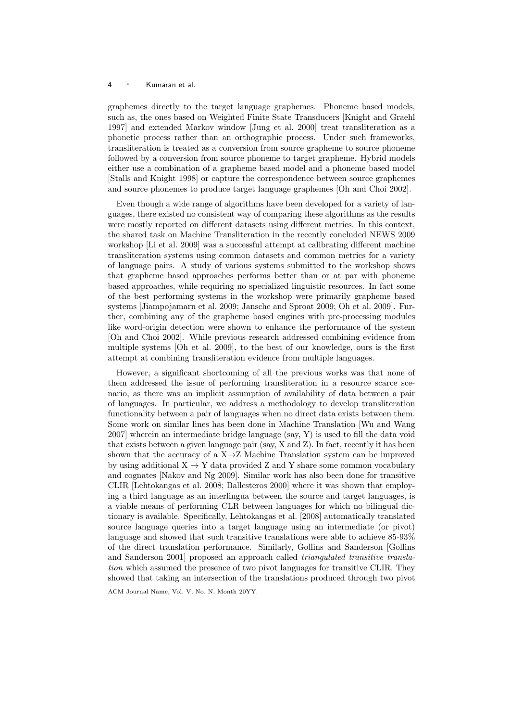graphemes directly to the target language graphemes. Phoneme based models, such as, the ones based on Weighted Finite State Transducers [Knight and Graehl 1997] and extended Markov window [Jung et al. 2000] treat transliteration as a phonetic process rather than an orthographic process. Under such frameworks, transliteration is treated as a conversion from source grapheme to source phoneme followed by a conversion from source phoneme to target grapheme. Hybrid models either use a combination of a grapheme based model and a phoneme based model [Stalls and Knight 1998] or capture the correspondence between source graphemes and source phonemes to produce target language graphemes [Oh and Choi 2002].

Even though a wide range of algorithms have been developed for a variety of languages, there existed no consistent way of comparing these algorithms as the results were mostly reported on different datasets using different metrics. In this context, the shared task on Machine Transliteration in the recently concluded NEWS 2009 workshop [Li et al. 2009] was a successful attempt at calibrating different machine transliteration systems using common datasets and common metrics for a variety of language pairs. A study of various systems submitted to the workshop shows that grapheme based approaches performs better than or at par with phoneme based approaches, while requiring no specialized linguistic resources. In fact some of the best performing systems in the workshop were primarily grapheme based systems [Jiampojamarn et al. 2009; Jansche and Sproat 2009; Oh et al. 2009]. Further, combining any of the grapheme based engines with pre-processing modules like word-origin detection were shown to enhance the performance of the system [Oh and Choi 2002]. While previous research addressed combining evidence from multiple systems [Oh et al. 2009], to the best of our knowledge, ours is the first attempt at combining transliteration evidence from multiple languages.

However, a significant shortcoming of all the previous works was that none of them addressed the issue of performing transliteration in a resource scarce scenario, as there was an implicit assumption of availability of data between a pair of languages. In particular, we address a methodology to develop transliteration functionality between a pair of languages when no direct data exists between them. Some work on similar lines has been done in Machine Translation [Wu and Wang 2007] wherein an intermediate bridge language (say, Y) is used to fill the data void that exists between a given language pair (say, X and Z). In fact, recently it has been shown that the accuracy of a  $X \rightarrow Z$  Machine Translation system can be improved by using additional  $X \to Y$  data provided Z and Y share some common vocabulary and cognates [Nakov and Ng 2009]. Similar work has also been done for transitive CLIR [Lehtokangas et al. 2008; Ballesteros 2000] where it was shown that employing a third language as an interlingua between the source and target languages, is a viable means of performing CLR between languages for which no bilingual dictionary is available. Specifically, Lehtokangas et al. [2008] automatically translated source language queries into a target language using an intermediate (or pivot) language and showed that such transitive translations were able to achieve 85-93% of the direct translation performance. Similarly, Gollins and Sanderson [Gollins and Sanderson 2001] proposed an approach called *triangulated transitive translation* which assumed the presence of two pivot languages for transitive CLIR. They showed that taking an intersection of the translations produced through two pivot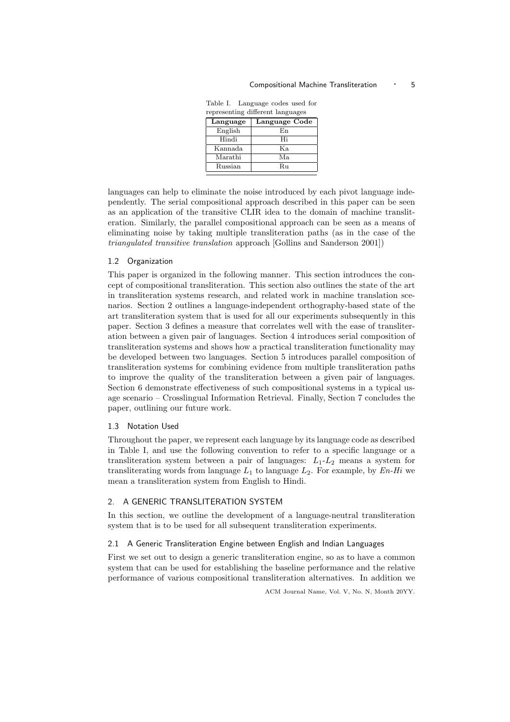| Language Code |
|---------------|
|               |
|               |
|               |
|               |
|               |
|               |
|               |

Table I. Language codes used for representing different languages

languages can help to eliminate the noise introduced by each pivot language independently. The serial compositional approach described in this paper can be seen as an application of the transitive CLIR idea to the domain of machine transliteration. Similarly, the parallel compositional approach can be seen as a means of eliminating noise by taking multiple transliteration paths (as in the case of the *triangulated transitive translation* approach [Gollins and Sanderson 2001])

#### 1.2 Organization

This paper is organized in the following manner. This section introduces the concept of compositional transliteration. This section also outlines the state of the art in transliteration systems research, and related work in machine translation scenarios. Section 2 outlines a language-independent orthography-based state of the art transliteration system that is used for all our experiments subsequently in this paper. Section 3 defines a measure that correlates well with the ease of transliteration between a given pair of languages. Section 4 introduces serial composition of transliteration systems and shows how a practical transliteration functionality may be developed between two languages. Section 5 introduces parallel composition of transliteration systems for combining evidence from multiple transliteration paths to improve the quality of the transliteration between a given pair of languages. Section 6 demonstrate effectiveness of such compositional systems in a typical usage scenario – Crosslingual Information Retrieval. Finally, Section 7 concludes the paper, outlining our future work.

## 1.3 Notation Used

Throughout the paper, we represent each language by its language code as described in Table I, and use the following convention to refer to a specific language or a transliteration system between a pair of languages:  $L_1-L_2$  means a system for transliterating words from language  $L_1$  to language  $L_2$ . For example, by  $En-Hi$  we mean a transliteration system from English to Hindi.

#### 2. A GENERIC TRANSLITERATION SYSTEM

In this section, we outline the development of a language-neutral transliteration system that is to be used for all subsequent transliteration experiments.

#### 2.1 A Generic Transliteration Engine between English and Indian Languages

First we set out to design a generic transliteration engine, so as to have a common system that can be used for establishing the baseline performance and the relative performance of various compositional transliteration alternatives. In addition we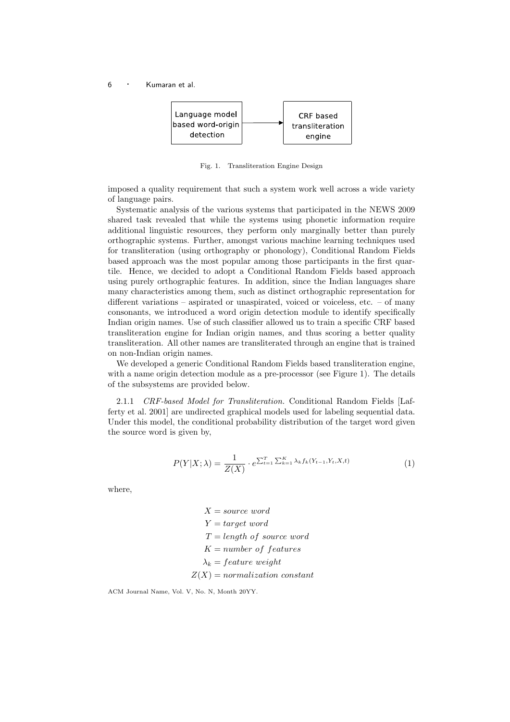

Fig. 1. Transliteration Engine Design

imposed a quality requirement that such a system work well across a wide variety of language pairs.

Systematic analysis of the various systems that participated in the NEWS 2009 shared task revealed that while the systems using phonetic information require additional linguistic resources, they perform only marginally better than purely orthographic systems. Further, amongst various machine learning techniques used for transliteration (using orthography or phonology), Conditional Random Fields based approach was the most popular among those participants in the first quartile. Hence, we decided to adopt a Conditional Random Fields based approach using purely orthographic features. In addition, since the Indian languages share many characteristics among them, such as distinct orthographic representation for different variations – aspirated or unaspirated, voiced or voiceless, etc. – of many consonants, we introduced a word origin detection module to identify specifically Indian origin names. Use of such classifier allowed us to train a specific CRF based transliteration engine for Indian origin names, and thus scoring a better quality transliteration. All other names are transliterated through an engine that is trained on non-Indian origin names.

We developed a generic Conditional Random Fields based transliteration engine, with a name origin detection module as a pre-processor (see Figure 1). The details of the subsystems are provided below.

2.1.1 *CRF-based Model for Transliteration.* Conditional Random Fields [Lafferty et al. 2001] are undirected graphical models used for labeling sequential data. Under this model, the conditional probability distribution of the target word given the source word is given by,

$$
P(Y|X; \lambda) = \frac{1}{Z(X)} \cdot e^{\sum_{t=1}^{T} \sum_{k=1}^{K} \lambda_k f_k(Y_{t-1}, Y_t, X, t)}
$$
(1)

where,

 $X = source word$  $Y = target word$  $T = length of source word$  $K = number of features$  $\lambda_k = feature \ weight$  $Z(X) = normalization constant$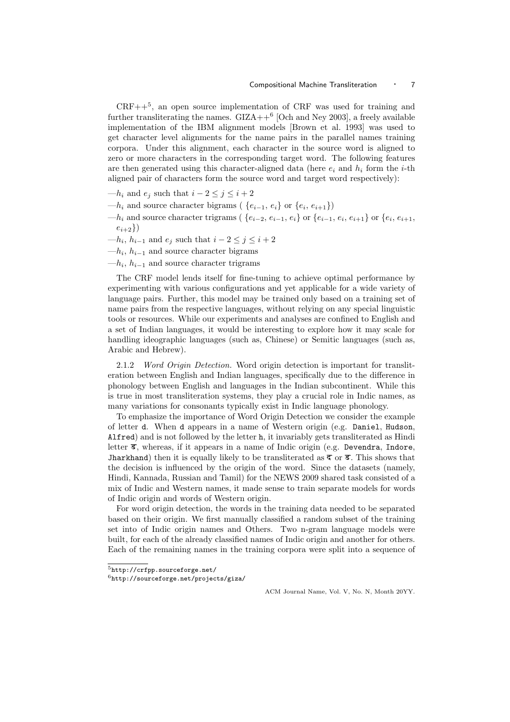$CRF++<sup>5</sup>$ , an open source implementation of CRF was used for training and further transliterating the names.  $GIZA++^6$  [Och and Ney 2003], a freely available implementation of the IBM alignment models [Brown et al. 1993] was used to get character level alignments for the name pairs in the parallel names training corpora. Under this alignment, each character in the source word is aligned to zero or more characters in the corresponding target word. The following features are then generated using this character-aligned data (here  $e_i$  and  $h_i$  form the *i*-th aligned pair of characters form the source word and target word respectively):

- — $h_i$  and  $e_j$  such that  $i 2 \leq j \leq i + 2$
- —h<sub>i</sub> and source character bigrams ( $\{e_{i-1}, e_i\}$  or  $\{e_i, e_{i+1}\}\$ )
- $-h_i$  and source character trigrams (  $\{e_{i-2}, e_{i-1}, e_i\}$  or  $\{e_{i-1}, e_i, e_{i+1}\}$  or  $\{e_i, e_{i+1}, \}$  $e_{i+2}\})$
- — $h_i$ ,  $h_{i-1}$  and  $e_j$  such that  $i-2 \leq j \leq i+2$
- $-h_i$ ,  $h_{i-1}$  and source character bigrams
- $-h_i$ ,  $h_{i-1}$  and source character trigrams

The CRF model lends itself for fine-tuning to achieve optimal performance by experimenting with various configurations and yet applicable for a wide variety of language pairs. Further, this model may be trained only based on a training set of name pairs from the respective languages, without relying on any special linguistic tools or resources. While our experiments and analyses are confined to English and a set of Indian languages, it would be interesting to explore how it may scale for handling ideographic languages (such as, Chinese) or Semitic languages (such as, Arabic and Hebrew).

2.1.2 *Word Origin Detection.* Word origin detection is important for transliteration between English and Indian languages, specifically due to the difference in phonology between English and languages in the Indian subcontinent. While this is true in most transliteration systems, they play a crucial role in Indic names, as many variations for consonants typically exist in Indic language phonology.

To emphasize the importance of Word Origin Detection we consider the example of letter d. When d appears in a name of Western origin (e.g. Daniel, Hudson, Alfred) and is not followed by the letter h, it invariably gets transliterated as Hindi letter X, whereas, if it appears in a name of Indic origin (e.g. Devendra, Indore, Jharkhand) then it is equally likely to be transliterated as  $\bar{\tau}$  or  $\bar{\tau}$ . This shows that the decision is influenced by the origin of the word. Since the datasets (namely, Hindi, Kannada, Russian and Tamil) for the NEWS 2009 shared task consisted of a mix of Indic and Western names, it made sense to train separate models for words of Indic origin and words of Western origin.

For word origin detection, the words in the training data needed to be separated based on their origin. We first manually classified a random subset of the training set into of Indic origin names and Others. Two n-gram language models were built, for each of the already classified names of Indic origin and another for others. Each of the remaining names in the training corpora were split into a sequence of

 ${\rm ^5http://crfpp.sourcefore.net/}$ 

 $6$ http://sourceforge.net/projects/giza/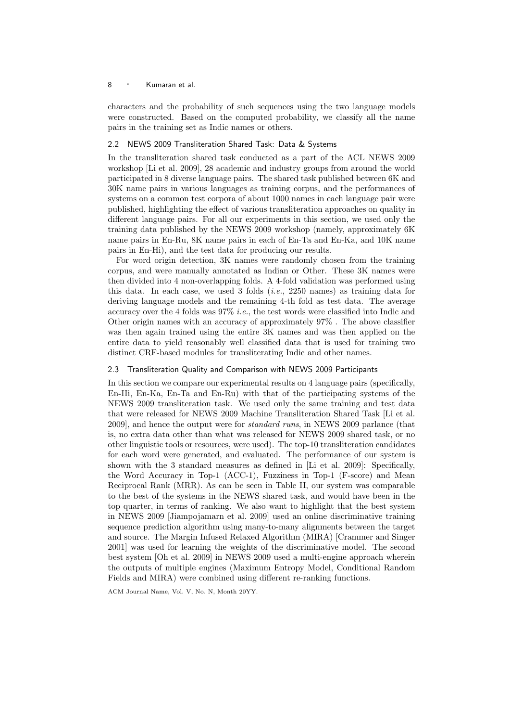characters and the probability of such sequences using the two language models were constructed. Based on the computed probability, we classify all the name pairs in the training set as Indic names or others.

## 2.2 NEWS 2009 Transliteration Shared Task: Data & Systems

In the transliteration shared task conducted as a part of the ACL NEWS 2009 workshop [Li et al. 2009], 28 academic and industry groups from around the world participated in 8 diverse language pairs. The shared task published between 6K and 30K name pairs in various languages as training corpus, and the performances of systems on a common test corpora of about 1000 names in each language pair were published, highlighting the effect of various transliteration approaches on quality in different language pairs. For all our experiments in this section, we used only the training data published by the NEWS 2009 workshop (namely, approximately 6K name pairs in En-Ru, 8K name pairs in each of En-Ta and En-Ka, and 10K name pairs in En-Hi), and the test data for producing our results.

For word origin detection, 3K names were randomly chosen from the training corpus, and were manually annotated as Indian or Other. These 3K names were then divided into 4 non-overlapping folds. A 4-fold validation was performed using this data. In each case, we used 3 folds (*i.e.*, 2250 names) as training data for deriving language models and the remaining 4-th fold as test data. The average accuracy over the 4 folds was 97% *i.e.*, the test words were classified into Indic and Other origin names with an accuracy of approximately 97% . The above classifier was then again trained using the entire 3K names and was then applied on the entire data to yield reasonably well classified data that is used for training two distinct CRF-based modules for transliterating Indic and other names.

## 2.3 Transliteration Quality and Comparison with NEWS 2009 Participants

In this section we compare our experimental results on 4 language pairs (specifically, En-Hi, En-Ka, En-Ta and En-Ru) with that of the participating systems of the NEWS 2009 transliteration task. We used only the same training and test data that were released for NEWS 2009 Machine Transliteration Shared Task [Li et al. 2009], and hence the output were for *standard runs*, in NEWS 2009 parlance (that is, no extra data other than what was released for NEWS 2009 shared task, or no other linguistic tools or resources, were used). The top-10 transliteration candidates for each word were generated, and evaluated. The performance of our system is shown with the 3 standard measures as defined in [Li et al. 2009]: Specifically, the Word Accuracy in Top-1 (ACC-1), Fuzziness in Top-1 (F-score) and Mean Reciprocal Rank (MRR). As can be seen in Table II, our system was comparable to the best of the systems in the NEWS shared task, and would have been in the top quarter, in terms of ranking. We also want to highlight that the best system in NEWS 2009 [Jiampojamarn et al. 2009] used an online discriminative training sequence prediction algorithm using many-to-many alignments between the target and source. The Margin Infused Relaxed Algorithm (MIRA) [Crammer and Singer 2001] was used for learning the weights of the discriminative model. The second best system [Oh et al. 2009] in NEWS 2009 used a multi-engine approach wherein the outputs of multiple engines (Maximum Entropy Model, Conditional Random Fields and MIRA) were combined using different re-ranking functions.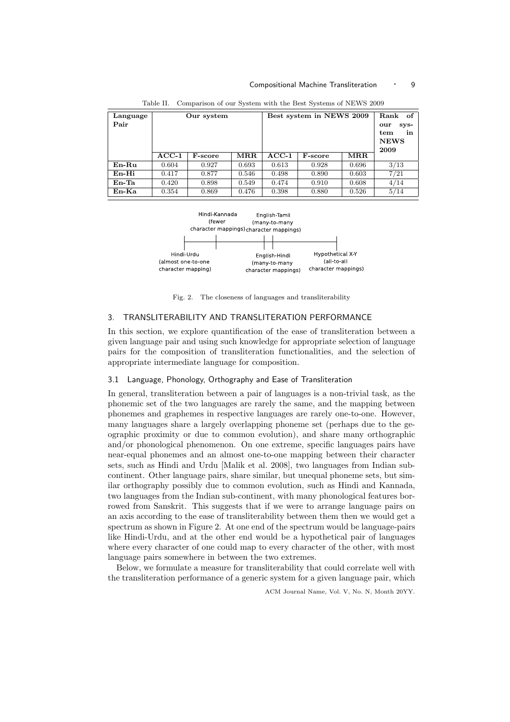#### Compositional Machine Transliteration • 9

| Language<br>Pair | Our system |                | Best system in NEWS 2009 |         | Rank<br>of.<br>sys-<br>our<br>tem<br>in<br><b>NEWS</b><br>2009 |                      |      |
|------------------|------------|----------------|--------------------------|---------|----------------------------------------------------------------|----------------------|------|
|                  | $ACC-1$    | <b>F-score</b> | MRR                      | $ACC-1$ | <b>F-score</b>                                                 | $\operatorname{MRR}$ |      |
| $En-Ru$          | 0.604      | 0.927          | 0.693                    | 0.613   | 0.928                                                          | 0.696                | 3/13 |
| En-Hi            | 0.417      | 0.877          | 0.546                    | 0.498   | 0.890                                                          | 0.603                | 7/21 |
| $En$ -Ta         | 0.420      | 0.898          | 0.549                    | 0.474   | 0.910                                                          | 0.608                | 4/14 |
| En-Ka            | 0.354      | 0.869          | 0.476                    | 0.398   | 0.880                                                          | 0.526                | 5/14 |

Table II. Comparison of our System with the Best Systems of NEWS 2009



Fig. 2. The closeness of languages and transliterability

## 3. TRANSLITERABILITY AND TRANSLITERATION PERFORMANCE

In this section, we explore quantification of the ease of transliteration between a given language pair and using such knowledge for appropriate selection of language pairs for the composition of transliteration functionalities, and the selection of appropriate intermediate language for composition.

## 3.1 Language, Phonology, Orthography and Ease of Transliteration

In general, transliteration between a pair of languages is a non-trivial task, as the phonemic set of the two languages are rarely the same, and the mapping between phonemes and graphemes in respective languages are rarely one-to-one. However, many languages share a largely overlapping phoneme set (perhaps due to the geographic proximity or due to common evolution), and share many orthographic and/or phonological phenomenon. On one extreme, specific languages pairs have near-equal phonemes and an almost one-to-one mapping between their character sets, such as Hindi and Urdu [Malik et al. 2008], two languages from Indian subcontinent. Other language pairs, share similar, but unequal phoneme sets, but similar orthography possibly due to common evolution, such as Hindi and Kannada, two languages from the Indian sub-continent, with many phonological features borrowed from Sanskrit. This suggests that if we were to arrange language pairs on an axis according to the ease of transliterability between them then we would get a spectrum as shown in Figure 2. At one end of the spectrum would be language-pairs like Hindi-Urdu, and at the other end would be a hypothetical pair of languages where every character of one could map to every character of the other, with most language pairs somewhere in between the two extremes.

Below, we formulate a measure for transliterability that could correlate well with the transliteration performance of a generic system for a given language pair, which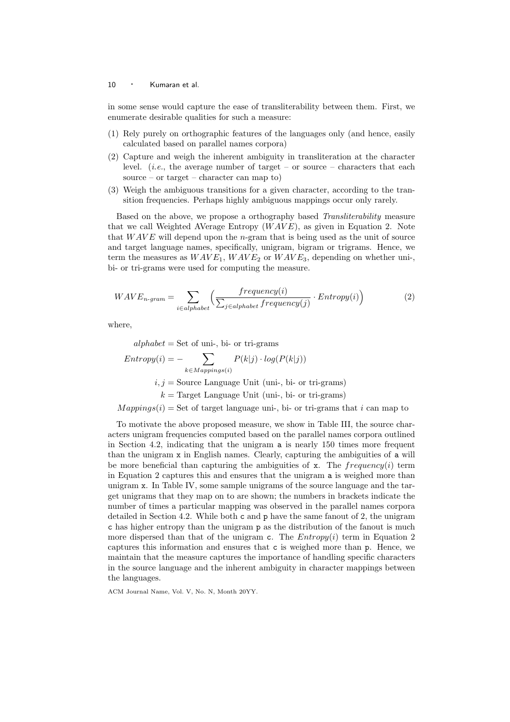in some sense would capture the ease of transliterability between them. First, we enumerate desirable qualities for such a measure:

- (1) Rely purely on orthographic features of the languages only (and hence, easily calculated based on parallel names corpora)
- (2) Capture and weigh the inherent ambiguity in transliteration at the character level. (*i.e.*, the average number of target – or source – characters that each source – or target – character can map to)
- (3) Weigh the ambiguous transitions for a given character, according to the transition frequencies. Perhaps highly ambiguous mappings occur only rarely.

Based on the above, we propose a orthography based *Transliterability* measure that we call Weighted AVerage Entropy  $(WAVE)$ , as given in Equation 2. Note that  $WAVE$  will depend upon the *n*-gram that is being used as the unit of source and target language names, specifically, unigram, bigram or trigrams. Hence, we term the measures as  $WAVE_1, WAVE_2$  or  $WAVE_3$ , depending on whether uni-, bi- or tri-grams were used for computing the measure.

$$
WAVE_{n-gram} = \sum_{i \in alphabet} \left( \frac{frequency(i)}{\sum_{j \in alphabet} frequency(j)} \cdot Entropy(i) \right)
$$
 (2)

where,

$$
alphabet = Set of uni-, bi- or tri-grams
$$
  
\n
$$
Entropy(i) = -\sum_{k \in Mapping(i)} P(k|j) \cdot log(P(k|j))
$$
  
\n $i, j = Source Language Unit (uni-, bi- or tri-grams)$   
\n $k = Target Language Unit (uni-, bi- or tri-grams)$   
\n
$$
Mappings(i) = Set of target language uni-, bi- or tri-grams that i can map to
$$

To motivate the above proposed measure, we show in Table III, the source characters unigram frequencies computed based on the parallel names corpora outlined in Section 4.2, indicating that the unigram a is nearly 150 times more frequent than the unigram x in English names. Clearly, capturing the ambiguities of a will be more beneficial than capturing the ambiguities of  $x$ . The frequency(i) term in Equation 2 captures this and ensures that the unigram a is weighed more than unigram x. In Table IV, some sample unigrams of the source language and the target unigrams that they map on to are shown; the numbers in brackets indicate the number of times a particular mapping was observed in the parallel names corpora detailed in Section 4.2. While both c and p have the same fanout of 2, the unigram c has higher entropy than the unigram p as the distribution of the fanout is much more dispersed than that of the unigram c. The  $Entropy(i)$  term in Equation 2 captures this information and ensures that c is weighed more than p. Hence, we maintain that the measure captures the importance of handling specific characters in the source language and the inherent ambiguity in character mappings between the languages.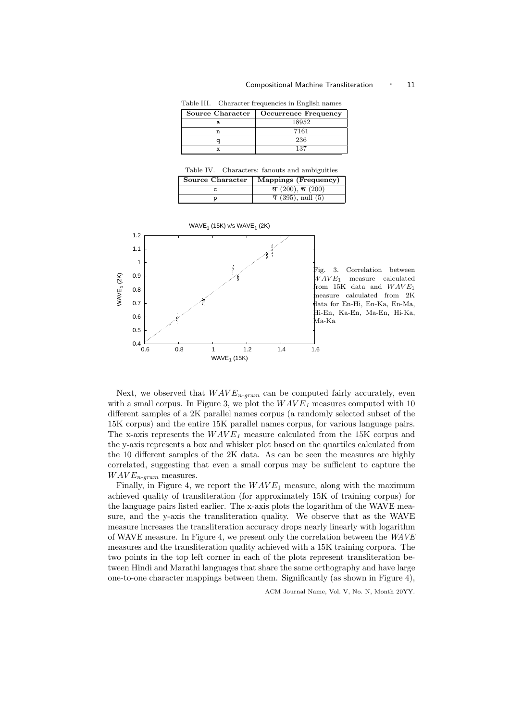#### Compositional Machine Transliteration  $\cdot$  11

Table III. Character frequencies in English names

| Source Character | Occurrence Frequency |
|------------------|----------------------|
|                  | 18952                |
|                  | 7161                 |
|                  | 236                  |
|                  | 137                  |

Table IV. Characters: fanouts and ambiguities

| Source Character | Mappings (Frequency)   |
|------------------|------------------------|
|                  | स $(200)$ , क $(200)$  |
|                  | $\P(395)$ , null $(5)$ |



Next, we observed that  $WAVE_{n-gram}$  can be computed fairly accurately, even with a small corpus. In Figure 3, we plot the  $WAVE<sub>1</sub>$  measures computed with 10 different samples of a 2K parallel names corpus (a randomly selected subset of the 15K corpus) and the entire 15K parallel names corpus, for various language pairs. The x-axis represents the  $WAVE<sub>1</sub>$  measure calculated from the 15K corpus and the y-axis represents a box and whisker plot based on the quartiles calculated from the 10 different samples of the 2K data. As can be seen the measures are highly correlated, suggesting that even a small corpus may be sufficient to capture the  $WAVE_{n-gram}$  measures.

Finally, in Figure 4, we report the  $WAVE_1$  measure, along with the maximum achieved quality of transliteration (for approximately 15K of training corpus) for the language pairs listed earlier. The x-axis plots the logarithm of the WAVE measure, and the y-axis the transliteration quality. We observe that as the WAVE measure increases the transliteration accuracy drops nearly linearly with logarithm of WAVE measure. In Figure 4, we present only the correlation between the *WAVE* measures and the transliteration quality achieved with a 15K training corpora. The two points in the top left corner in each of the plots represent transliteration between Hindi and Marathi languages that share the same orthography and have large one-to-one character mappings between them. Significantly (as shown in Figure 4),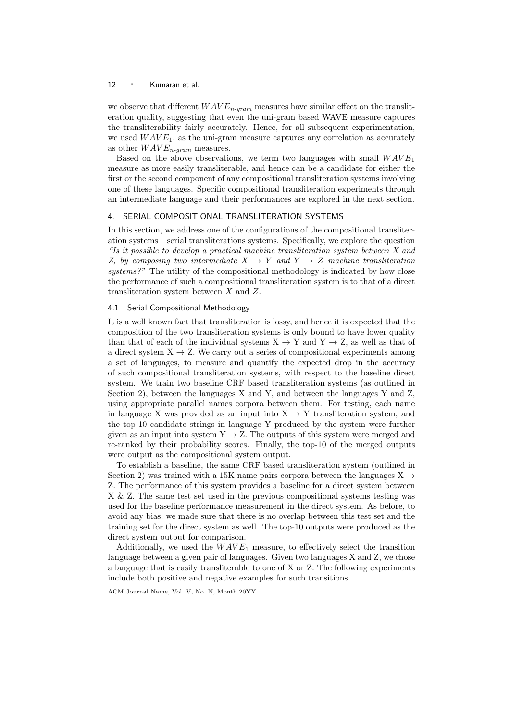we observe that different  $WAVE_{n-gram}$  measures have similar effect on the transliteration quality, suggesting that even the uni-gram based WAVE measure captures the transliterability fairly accurately. Hence, for all subsequent experimentation, we used  $WAVE_1$ , as the uni-gram measure captures any correlation as accurately as other  $WAVE_{n-gram}$  measures.

Based on the above observations, we term two languages with small  $WAVE_1$ measure as more easily transliterable, and hence can be a candidate for either the first or the second component of any compositional transliteration systems involving one of these languages. Specific compositional transliteration experiments through an intermediate language and their performances are explored in the next section.

## 4. SERIAL COMPOSITIONAL TRANSLITERATION SYSTEMS

In this section, we address one of the configurations of the compositional transliteration systems – serial transliterations systems. Specifically, we explore the question *"Is it possible to develop a practical machine transliteration system between X and Z, by composing two intermediate*  $X \rightarrow Y$  *and*  $Y \rightarrow Z$  *machine transliteration systems?"* The utility of the compositional methodology is indicated by how close the performance of such a compositional transliteration system is to that of a direct transliteration system between X and Z.

## 4.1 Serial Compositional Methodology

It is a well known fact that transliteration is lossy, and hence it is expected that the composition of the two transliteration systems is only bound to have lower quality than that of each of the individual systems  $X \to Y$  and  $Y \to Z$ , as well as that of a direct system  $X \to Z$ . We carry out a series of compositional experiments among a set of languages, to measure and quantify the expected drop in the accuracy of such compositional transliteration systems, with respect to the baseline direct system. We train two baseline CRF based transliteration systems (as outlined in Section 2), between the languages X and Y, and between the languages Y and Z, using appropriate parallel names corpora between them. For testing, each name in language X was provided as an input into  $X \rightarrow Y$  transliteration system, and the top-10 candidate strings in language Y produced by the system were further given as an input into system  $Y \rightarrow Z$ . The outputs of this system were merged and re-ranked by their probability scores. Finally, the top-10 of the merged outputs were output as the compositional system output.

To establish a baseline, the same CRF based transliteration system (outlined in Section 2) was trained with a 15K name pairs corpora between the languages  $X \rightarrow$ Z. The performance of this system provides a baseline for a direct system between X & Z. The same test set used in the previous compositional systems testing was used for the baseline performance measurement in the direct system. As before, to avoid any bias, we made sure that there is no overlap between this test set and the training set for the direct system as well. The top-10 outputs were produced as the direct system output for comparison.

Additionally, we used the  $WAVE_1$  measure, to effectively select the transition language between a given pair of languages. Given two languages X and Z, we chose a language that is easily transliterable to one of X or Z. The following experiments include both positive and negative examples for such transitions.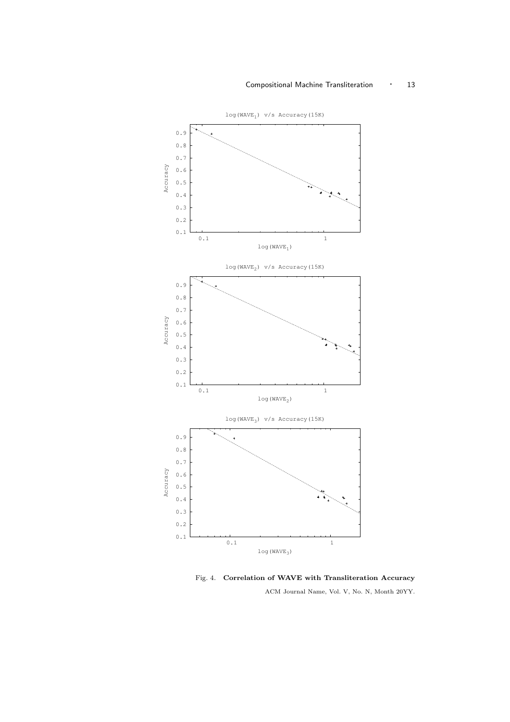## Compositional Machine Transliteration • 13



Fig. 4. Correlation of WAVE with Transliteration Accuracy ACM Journal Name, Vol. V, No. N, Month 20YY.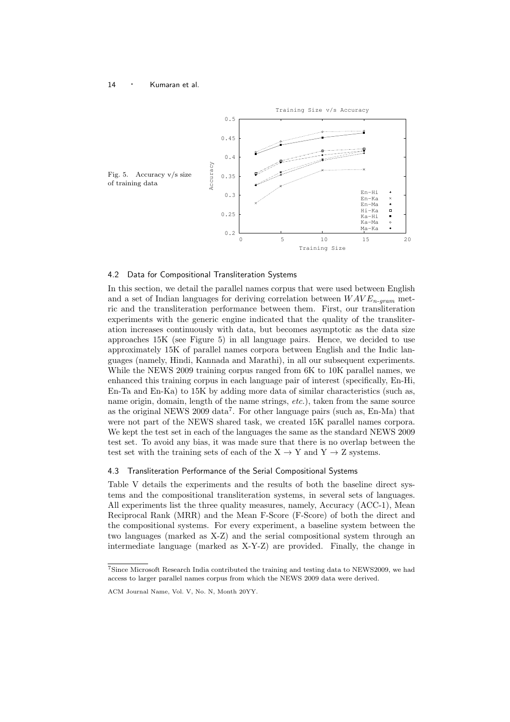

#### 4.2 Data for Compositional Transliteration Systems

In this section, we detail the parallel names corpus that were used between English and a set of Indian languages for deriving correlation between  $WAVE_{n-gram}$  metric and the transliteration performance between them. First, our transliteration experiments with the generic engine indicated that the quality of the transliteration increases continuously with data, but becomes asymptotic as the data size approaches 15K (see Figure 5) in all language pairs. Hence, we decided to use approximately 15K of parallel names corpora between English and the Indic languages (namely, Hindi, Kannada and Marathi), in all our subsequent experiments. While the NEWS 2009 training corpus ranged from 6K to 10K parallel names, we enhanced this training corpus in each language pair of interest (specifically, En-Hi, En-Ta and En-Ka) to 15K by adding more data of similar characteristics (such as, name origin, domain, length of the name strings, *etc.*), taken from the same source as the original NEWS 2009 data<sup>7</sup>. For other language pairs (such as, En-Ma) that were not part of the NEWS shared task, we created 15K parallel names corpora. We kept the test set in each of the languages the same as the standard NEWS 2009 test set. To avoid any bias, it was made sure that there is no overlap between the test set with the training sets of each of the  $X \rightarrow Y$  and  $Y \rightarrow Z$  systems.

#### 4.3 Transliteration Performance of the Serial Compositional Systems

Table V details the experiments and the results of both the baseline direct systems and the compositional transliteration systems, in several sets of languages. All experiments list the three quality measures, namely, Accuracy (ACC-1), Mean Reciprocal Rank (MRR) and the Mean F-Score (F-Score) of both the direct and the compositional systems. For every experiment, a baseline system between the two languages (marked as X-Z) and the serial compositional system through an intermediate language (marked as X-Y-Z) are provided. Finally, the change in

<sup>7</sup>Since Microsoft Research India contributed the training and testing data to NEWS2009, we had access to larger parallel names corpus from which the NEWS 2009 data were derived.

ACM Journal Name, Vol. V, No. N, Month 20YY.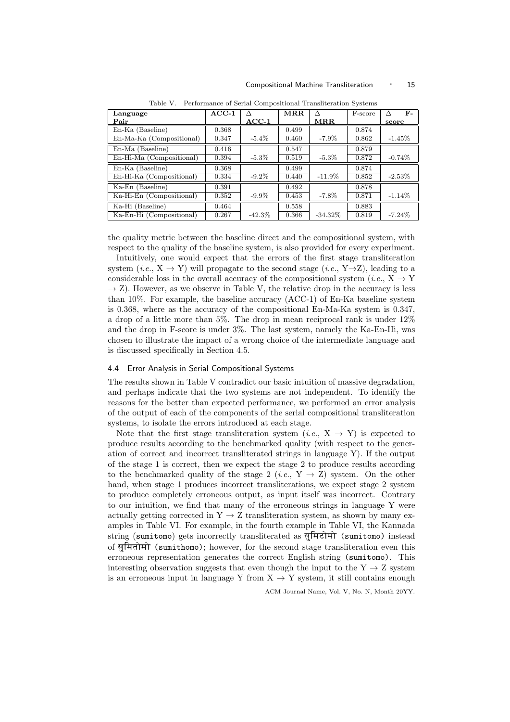| Language                 | $ACC-1$ |                    | MRR   | Л                    | F-score | $F-$      |
|--------------------------|---------|--------------------|-------|----------------------|---------|-----------|
| Pair                     |         | $\rm ACC\text{-}1$ |       | $\operatorname{MRR}$ |         | score     |
| En-Ka (Baseline)         | 0.368   |                    | 0.499 |                      | 0.874   |           |
| En-Ma-Ka (Compositional) | 0.347   | $-5.4\%$           | 0.460 | $-7.9\%$             | 0.862   | $-1.45%$  |
| En-Ma (Baseline)         | 0.416   |                    | 0.547 |                      | 0.879   |           |
| En-Hi-Ma (Compositional) | 0.394   | $-5.3\%$           | 0.519 | $-5.3\%$             | 0.872   | $-0.74%$  |
| En-Ka (Baseline)         | 0.368   |                    | 0.499 |                      | 0.874   |           |
| En-Hi-Ka (Compositional) | 0.334   | $-9.2\%$           | 0.440 | $-11.9\%$            | 0.852   | $-2.53\%$ |
| Ka-En (Baseline)         | 0.391   |                    | 0.492 |                      | 0.878   |           |
| Ka-Hi-En (Compositional) | 0.352   | $-9.9\%$           | 0.453 | $-7.8\%$             | 0.871   | $-1.14%$  |
| Ka-Hi (Baseline)         | 0.464   |                    | 0.558 |                      | 0.883   |           |
| Ka-En-Hi (Compositional) | 0.267   | $-42.3\%$          | 0.366 | $-34.32\%$           | 0.819   | $-7.24\%$ |

Table V. Performance of Serial Compositional Transliteration Systems

the quality metric between the baseline direct and the compositional system, with respect to the quality of the baseline system, is also provided for every experiment.

Intuitively, one would expect that the errors of the first stage transliteration system  $(i.e., X \rightarrow Y)$  will propagate to the second stage  $(i.e., Y \rightarrow Z)$ , leading to a considerable loss in the overall accuracy of the compositional system (*i.e.*,  $X \rightarrow Y$  $\rightarrow$  Z). However, as we observe in Table V, the relative drop in the accuracy is less than 10%. For example, the baseline accuracy (ACC-1) of En-Ka baseline system is 0.368, where as the accuracy of the compositional En-Ma-Ka system is 0.347, a drop of a little more than 5%. The drop in mean reciprocal rank is under 12% and the drop in F-score is under 3%. The last system, namely the Ka-En-Hi, was chosen to illustrate the impact of a wrong choice of the intermediate language and is discussed specifically in Section 4.5.

## 4.4 Error Analysis in Serial Compositional Systems

The results shown in Table V contradict our basic intuition of massive degradation, and perhaps indicate that the two systems are not independent. To identify the reasons for the better than expected performance, we performed an error analysis of the output of each of the components of the serial compositional transliteration systems, to isolate the errors introduced at each stage.

Note that the first stage transliteration system  $(i.e., X \rightarrow Y)$  is expected to produce results according to the benchmarked quality (with respect to the generation of correct and incorrect transliterated strings in language Y). If the output of the stage 1 is correct, then we expect the stage 2 to produce results according to the benchmarked quality of the stage 2 (*i.e.*,  $Y \rightarrow Z$ ) system. On the other hand, when stage 1 produces incorrect transliterations, we expect stage 2 system to produce completely erroneous output, as input itself was incorrect. Contrary to our intuition, we find that many of the erroneous strings in language Y were actually getting corrected in  $Y \rightarrow Z$  transliteration system, as shown by many examples in Table VI. For example, in the fourth example in Table VI, the Kannada string (sumitomo) gets incorrectly transliterated as सुमिटोमो (sumitomo) instead of समितोमो (sumithomo); however, for the second stage transliteration even this erroneous representation generates the correct English string (sumitomo). This interesting observation suggests that even though the input to the  $Y \rightarrow Z$  system is an erroneous input in language Y from  $X \to Y$  system, it still contains enough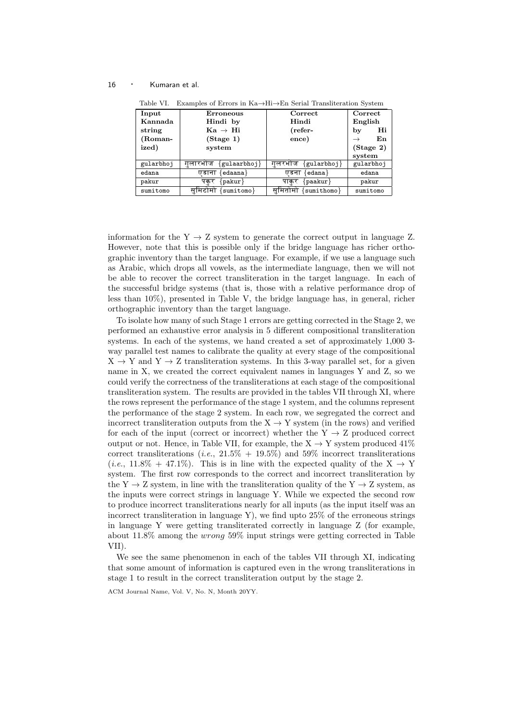| Input     | Erroneous                 | Correct                      | Correct             |
|-----------|---------------------------|------------------------------|---------------------|
| Kannada   | Hindi by                  | Hindi                        | English             |
| string    | $Ka \rightarrow Hi$       | (refer-                      | Hi<br>by            |
| (Roman-   | (Stage 1)                 | ence)                        | En<br>$\rightarrow$ |
| ized)     | system                    |                              | (Stage 2)           |
|           |                           |                              | system              |
| gularbhoj | ${gulaarbhoj}$<br>गलारभाज | ${g$ ularbhoj $}$<br>गलरभाज  | gularbhoj           |
| edana     | edaana}<br>एडाना          | edana }<br>एडना              | edana               |
| pakur     | $\{pakur\}$<br>पकर        | $\{ {\rm peakur} \}$<br>पाकर | pakur               |
| sumitomo  | ${sumitomo}$<br>सामटामा   | ${sumithomo}$<br>सामतामा     | sumitomo            |

Table VI. Examples of Errors in Ka→Hi→En Serial Transliteration System

information for the  $Y \rightarrow Z$  system to generate the correct output in language Z. However, note that this is possible only if the bridge language has richer orthographic inventory than the target language. For example, if we use a language such as Arabic, which drops all vowels, as the intermediate language, then we will not be able to recover the correct transliteration in the target language. In each of the successful bridge systems (that is, those with a relative performance drop of less than 10%), presented in Table V, the bridge language has, in general, richer orthographic inventory than the target language.

To isolate how many of such Stage 1 errors are getting corrected in the Stage 2, we performed an exhaustive error analysis in 5 different compositional transliteration systems. In each of the systems, we hand created a set of approximately 1,000 3 way parallel test names to calibrate the quality at every stage of the compositional  $X \rightarrow Y$  and  $Y \rightarrow Z$  transliteration systems. In this 3-way parallel set, for a given name in X, we created the correct equivalent names in languages Y and Z, so we could verify the correctness of the transliterations at each stage of the compositional transliteration system. The results are provided in the tables VII through XI, where the rows represent the performance of the stage 1 system, and the columns represent the performance of the stage 2 system. In each row, we segregated the correct and incorrect transliteration outputs from the  $X \rightarrow Y$  system (in the rows) and verified for each of the input (correct or incorrect) whether the  $Y \rightarrow Z$  produced correct output or not. Hence, in Table VII, for example, the  $X \to Y$  system produced  $41\%$ correct transliterations (*i.e.*,  $21.5\%$  + 19.5%) and 59% incorrect transliterations  $(i.e., 11.8\% + 47.1\%)$ . This is in line with the expected quality of the X  $\rightarrow$  Y system. The first row corresponds to the correct and incorrect transliteration by the Y  $\rightarrow$  Z system, in line with the transliteration quality of the Y  $\rightarrow$  Z system, as the inputs were correct strings in language Y. While we expected the second row to produce incorrect transliterations nearly for all inputs (as the input itself was an incorrect transliteration in language Y), we find upto  $25\%$  of the erroneous strings in language Y were getting transliterated correctly in language Z (for example, about 11.8% among the wrong 59% input strings were getting corrected in Table VII).

We see the same phenomenon in each of the tables VII through XI, indicating that some amount of information is captured even in the wrong transliterations in stage 1 to result in the correct transliteration output by the stage 2.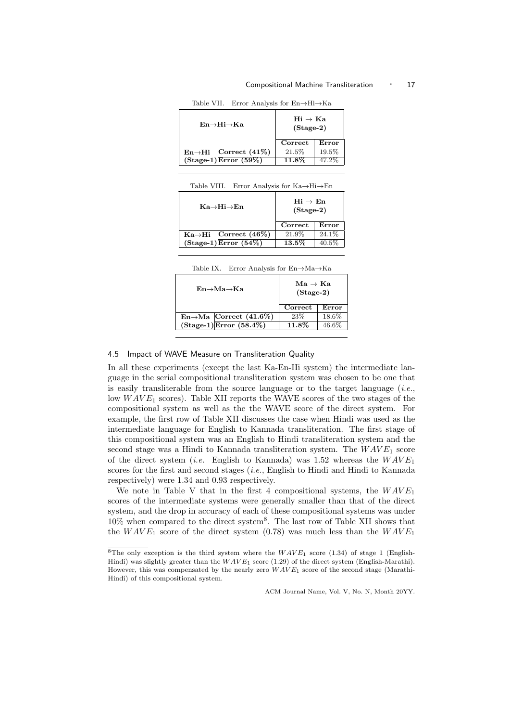#### Compositional Machine Transliteration · 17

Table VII. Error Analysis for En→Hi→Ka

| $En \rightarrow Hi \rightarrow Ka$<br>$(Stage-2)$               |  |
|-----------------------------------------------------------------|--|
| Correct<br>Error                                                |  |
| 19.5%<br>21.5%<br>$\text{En}\rightarrow\text{Hi}$ Correct (41%) |  |
| $(Stage-1)$ Error $(59%)$<br>47.2%<br>$11.8\%$                  |  |

| Table VIII. Error Analysis for $Ka \rightarrow Hi \rightarrow En$ |  |  |  |  |  |  |
|-------------------------------------------------------------------|--|--|--|--|--|--|
|-------------------------------------------------------------------|--|--|--|--|--|--|

| Ka→Hi→En                  |                                   | $Hi \rightarrow En$<br>$(Stage-2)$ |          |
|---------------------------|-----------------------------------|------------------------------------|----------|
|                           |                                   | Correct                            | Error    |
|                           | $Ka \rightarrow Hi$ Correct (46%) | 21.9%                              | 24.1%    |
| $(Stage-1)$ Error $(54%)$ |                                   | $13.5\%$                           | $40.5\%$ |

| $En \rightarrow Ma \rightarrow Ka$ |                                     | $\mathrm{Ma} \rightarrow \mathrm{Ka}$<br>$(Stage-2)$ |          |
|------------------------------------|-------------------------------------|------------------------------------------------------|----------|
|                                    |                                     | Correct                                              | Error    |
|                                    | $En \rightarrow Ma$ Correct (41.6%) | 23\%                                                 | 18.6%    |
|                                    | $(Stage-1)Error (58.4%)$            | $11.8\%$                                             | $46.6\%$ |
|                                    |                                     |                                                      |          |

## 4.5 Impact of WAVE Measure on Transliteration Quality

In all these experiments (except the last Ka-En-Hi system) the intermediate language in the serial compositional transliteration system was chosen to be one that is easily transliterable from the source language or to the target language (*i.e.*, low  $WAVE_1$  scores). Table XII reports the WAVE scores of the two stages of the compositional system as well as the the WAVE score of the direct system. For example, the first row of Table XII discusses the case when Hindi was used as the intermediate language for English to Kannada transliteration. The first stage of this compositional system was an English to Hindi transliteration system and the second stage was a Hindi to Kannada transliteration system. The  $WAVE_1$  score of the direct system (*i.e.* English to Kannada) was 1.52 whereas the  $WAVE_1$ scores for the first and second stages (*i.e.*, English to Hindi and Hindi to Kannada respectively) were 1.34 and 0.93 respectively.

We note in Table V that in the first 4 compositional systems, the  $WAVE_1$ scores of the intermediate systems were generally smaller than that of the direct system, and the drop in accuracy of each of these compositional systems was under 10% when compared to the direct system<sup>8</sup> . The last row of Table XII shows that the  $WAVE_1$  score of the direct system (0.78) was much less than the  $WAVE_1$ 

<sup>&</sup>lt;sup>8</sup>The only exception is the third system where the  $WAVE_1$  score (1.34) of stage 1 (English-Hindi) was slightly greater than the  $WAVE_1$  score (1.29) of the direct system (English-Marathi). However, this was compensated by the nearly zero  $WAVE_1$  score of the second stage (Marathi-Hindi) of this compositional system.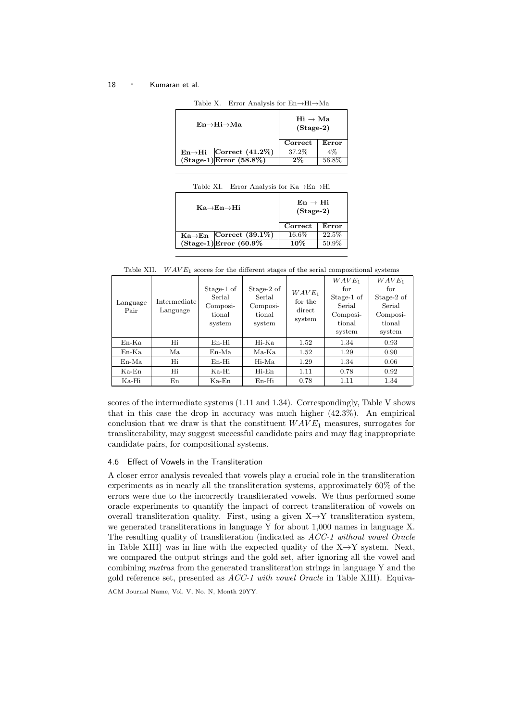| $En \rightarrow Hi \rightarrow Ma$ |                          | $\mathrm{Hi} \rightarrow \mathrm{Ma}$<br>$(Stage-2)$ |       |
|------------------------------------|--------------------------|------------------------------------------------------|-------|
|                                    |                          | Correct                                              | Error |
| $\text{En}\rightarrow\text{Hi}$    | Correct $(41.2\%)$       | 37.2%                                                | $4\%$ |
|                                    | $(Stage-1)Error (58.8%)$ | $2\%$                                                | 56.8% |
|                                    |                          |                                                      |       |

Table X. Error Analysis for En→Hi→Ma

| Ka→En→Hi                            | $En \rightarrow Hi$<br>$(Stage-2)$ |       |  |
|-------------------------------------|------------------------------------|-------|--|
|                                     | Correct                            | Error |  |
| $Ka \rightarrow En$ Correct (39.1%) | 16.6%                              | 22.5% |  |
| $(Stage-1)$ Error $(60.9\%$         | 10%                                | 50.9% |  |

Table XII.  $WAVE_1$  scores for the different stages of the serial compositional systems

| Language<br>Pair | Intermediate<br>Language | Stage-1 of<br>Serial<br>Composi-<br>tional<br>system | Stage-2 of<br>Serial<br>Composi-<br>tional<br>system | $WAVE_1$<br>for the<br>direct<br>system | $WAVE_1$<br>for<br>Stage-1 of<br>Serial<br>Composi-<br>tional<br>system | $WAVE_1$<br>for<br>Stage-2 of<br>Serial<br>Composi-<br>tional<br>system |
|------------------|--------------------------|------------------------------------------------------|------------------------------------------------------|-----------------------------------------|-------------------------------------------------------------------------|-------------------------------------------------------------------------|
| $En-Ka$          | Hi                       | $En-Hi$                                              | Hi-Ka                                                | 1.52                                    | 1.34                                                                    | 0.93                                                                    |
| $En-Ka$          | Ma                       | En-Ma                                                | Ma-Ka                                                | 1.52                                    | 1.29                                                                    | 0.90                                                                    |
| $En-Ma$          | Hi                       | $En-Hi$                                              | Hi-Ma                                                | 1.29                                    | 1.34                                                                    | 0.06                                                                    |
| $Ka$ -En         | Hi                       | Ka-Hi                                                | $Hi-En$                                              | 1.11                                    | 0.78                                                                    | 0.92                                                                    |
| Ka-Hi            | En                       | Ka-En                                                | $En-Hi$                                              | 0.78                                    | 1.11                                                                    | 1.34                                                                    |

scores of the intermediate systems (1.11 and 1.34). Correspondingly, Table V shows that in this case the drop in accuracy was much higher (42.3%). An empirical conclusion that we draw is that the constituent  $WAVE_1$  measures, surrogates for transliterability, may suggest successful candidate pairs and may flag inappropriate candidate pairs, for compositional systems.

## 4.6 Effect of Vowels in the Transliteration

A closer error analysis revealed that vowels play a crucial role in the transliteration experiments as in nearly all the transliteration systems, approximately 60% of the errors were due to the incorrectly transliterated vowels. We thus performed some oracle experiments to quantify the impact of correct transliteration of vowels on overall transliteration quality. First, using a given  $X \rightarrow Y$  transliteration system, we generated transliterations in language Y for about 1,000 names in language X. The resulting quality of transliteration (indicated as *ACC-1 without vowel Oracle* in Table XIII) was in line with the expected quality of the  $X \rightarrow Y$  system. Next, we compared the output strings and the gold set, after ignoring all the vowel and combining *matras* from the generated transliteration strings in language Y and the gold reference set, presented as *ACC-1 with vowel Oracle* in Table XIII). Equiva-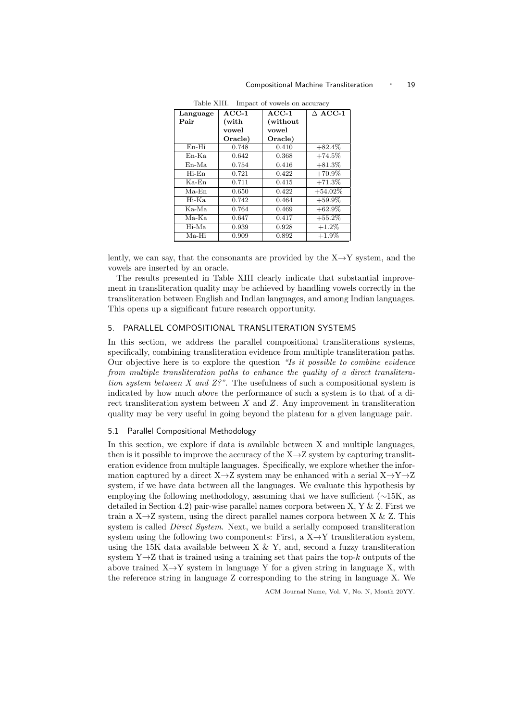| Language | $ACC-1$ | $ACC-1$  | $\triangle$ ACC-1 |
|----------|---------|----------|-------------------|
| Pair     | (with   | (without |                   |
|          | vowel   | vowel    |                   |
|          | Oracle) | Oracle)  |                   |
| En-Hi    | 0.748   | 0.410    | $+82.4\%$         |
| $En-Ka$  | 0.642   | 0.368    | $+74.5\%$         |
| En-Ma    | 0.754   | 0.416    | $+81.3\%$         |
| Hi-En    | 0.721   | 0.422    | $+70.9\%$         |
| $Ka-En$  | 0.711   | 0.415    | $+71.3\%$         |
| $Ma$ -En | 0.650   | 0.422    | $+54.02%$         |
| Hi-Ka    | 0.742   | 0.464    | $+59.9\%$         |
| Ka-Ma    | 0.764   | 0.469    | $+62.9\%$         |
| Ma-Ka    | 0.647   | 0.417    | $+55.2\%$         |
| Hi-Ma    | 0.939   | 0.928    | $+1.2\%$          |
| Ma-Hi    | 0.909   | 0.892    | $+1.9\%$          |

Table XIII. Impact of vowels on accuracy

lently, we can say, that the consonants are provided by the  $X \rightarrow Y$  system, and the vowels are inserted by an oracle.

The results presented in Table XIII clearly indicate that substantial improvement in transliteration quality may be achieved by handling vowels correctly in the transliteration between English and Indian languages, and among Indian languages. This opens up a significant future research opportunity.

## 5. PARALLEL COMPOSITIONAL TRANSLITERATION SYSTEMS

In this section, we address the parallel compositional transliterations systems, specifically, combining transliteration evidence from multiple transliteration paths. Our objective here is to explore the question *"Is it possible to combine evidence from multiple transliteration paths to enhance the quality of a direct transliteration system between X and Z?"*. The usefulness of such a compositional system is indicated by how much above the performance of such a system is to that of a direct transliteration system between  $X$  and  $Z$ . Any improvement in transliteration quality may be very useful in going beyond the plateau for a given language pair.

## 5.1 Parallel Compositional Methodology

In this section, we explore if data is available between X and multiple languages, then is it possible to improve the accuracy of the  $X\rightarrow Z$  system by capturing transliteration evidence from multiple languages. Specifically, we explore whether the information captured by a direct  $X\rightarrow Z$  system may be enhanced with a serial  $X\rightarrow Y\rightarrow Z$ system, if we have data between all the languages. We evaluate this hypothesis by employing the following methodology, assuming that we have sufficient ( $\sim$ 15K, as detailed in Section 4.2) pair-wise parallel names corpora between X, Y & Z. First we train a  $X \rightarrow Z$  system, using the direct parallel names corpora between X & Z. This system is called *Direct System*. Next, we build a serially composed transliteration system using the following two components: First, a  $X \rightarrow Y$  transliteration system, using the 15K data available between  $X \& Y$ , and, second a fuzzy transliteration system  $Y\rightarrow Z$  that is trained using a training set that pairs the top-k outputs of the above trained  $X \rightarrow Y$  system in language Y for a given string in language X, with the reference string in language Z corresponding to the string in language X. We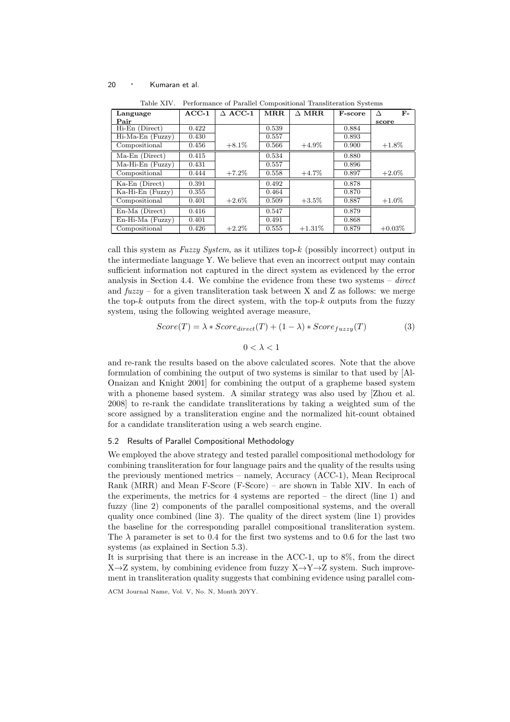| Language           | $ACC-1$ | $\triangle$ ACC-1 | MRR   | $\Delta$ MRR. | <b>F-score</b> | F-        |
|--------------------|---------|-------------------|-------|---------------|----------------|-----------|
| Pair               |         |                   |       |               |                | score     |
| Hi-En (Direct)     | 0.422   |                   | 0.539 |               | 0.884          |           |
| $Hi-Ma-En$ (Fuzzy) | 0.430   |                   | 0.557 |               | 0.893          |           |
| Compositional      | 0.456   | $+8.1\%$          | 0.566 | $+4.9\%$      | 0.900          | $+1.8\%$  |
| Ma-En (Direct)     | 0.415   |                   | 0.534 |               | 0.880          |           |
| $Ma-Hi-En$ (Fuzzy) | 0.431   |                   | 0.557 |               | 0.896          |           |
| Compositional      | 0.444   | $+7.2\%$          | 0.558 | $+4.7\%$      | 0.897          | $+2.0\%$  |
| $Ka-En$ (Direct)   | 0.391   |                   | 0.492 |               | 0.878          |           |
| Ka-Hi-En (Fuzzy)   | 0.355   |                   | 0.464 |               | 0.870          |           |
| Compositional      | 0.401   | $+2.6\%$          | 0.509 | $+3.5\%$      | 0.887          | $+1.0\%$  |
| En-Ma (Direct)     | 0.416   |                   | 0.547 |               | 0.879          |           |
| $En-Hi-Ma$ (Fuzzy) | 0.401   |                   | 0.491 |               | 0.868          |           |
| Compositional      | 0.426   | $+2.2\%$          | 0.555 | $+1.31\%$     | 0.879          | $+0.03\%$ |

Table XIV. Performance of Parallel Compositional Transliteration Systems

call this system as *Fuzzy System*, as it utilizes top-k (possibly incorrect) output in the intermediate language Y. We believe that even an incorrect output may contain sufficient information not captured in the direct system as evidenced by the error analysis in Section 4.4. We combine the evidence from these two systems – *direct* and  $fuzzy - for a given translation task between X and Z as follows: we merge$ the top- $k$  outputs from the direct system, with the top- $k$  outputs from the fuzzy system, using the following weighted average measure,

$$
Score(T) = \lambda * Score_{direct}(T) + (1 - \lambda) * Score_{fuzzy}(T)
$$
\n(3)

 $0 < \lambda < 1$ 

and re-rank the results based on the above calculated scores. Note that the above formulation of combining the output of two systems is similar to that used by [Al-Onaizan and Knight 2001] for combining the output of a grapheme based system with a phoneme based system. A similar strategy was also used by [Zhou et al. 2008] to re-rank the candidate transliterations by taking a weighted sum of the score assigned by a transliteration engine and the normalized hit-count obtained for a candidate transliteration using a web search engine.

## 5.2 Results of Parallel Compositional Methodology

We employed the above strategy and tested parallel compositional methodology for combining transliteration for four language pairs and the quality of the results using the previously mentioned metrics – namely, Accuracy (ACC-1), Mean Reciprocal Rank (MRR) and Mean F-Score (F-Score) – are shown in Table XIV. In each of the experiments, the metrics for 4 systems are reported – the direct (line 1) and fuzzy (line 2) components of the parallel compositional systems, and the overall quality once combined (line 3). The quality of the direct system (line 1) provides the baseline for the corresponding parallel compositional transliteration system. The  $\lambda$  parameter is set to 0.4 for the first two systems and to 0.6 for the last two systems (as explained in Section 5.3).

It is surprising that there is an increase in the ACC-1, up to 8%, from the direct  $X\rightarrow Z$  system, by combining evidence from fuzzy  $X\rightarrow Y\rightarrow Z$  system. Such improvement in transliteration quality suggests that combining evidence using parallel com-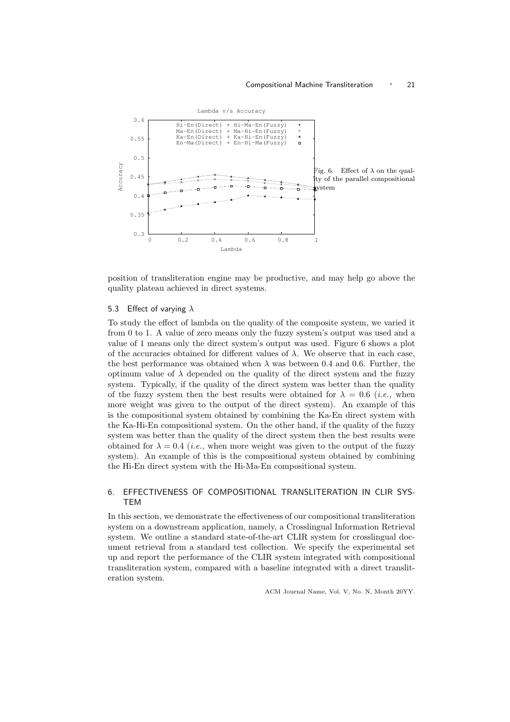

position of transliteration engine may be productive, and may help go above the quality plateau achieved in direct systems.

## 5.3 Effect of varying  $\lambda$

To study the effect of lambda on the quality of the composite system, we varied it from 0 to 1. A value of zero means only the fuzzy system's output was used and a value of 1 means only the direct system's output was used. Figure 6 shows a plot of the accuracies obtained for different values of  $\lambda$ . We observe that in each case, the best performance was obtained when  $\lambda$  was between 0.4 and 0.6. Further, the optimum value of  $\lambda$  depended on the quality of the direct system and the fuzzy system. Typically, if the quality of the direct system was better than the quality of the fuzzy system then the best results were obtained for  $\lambda = 0.6$  *(i.e., when*) more weight was given to the output of the direct system). An example of this is the compositional system obtained by combining the Ka-En direct system with the Ka-Hi-En compositional system. On the other hand, if the quality of the fuzzy system was better than the quality of the direct system then the best results were obtained for  $\lambda = 0.4$  (*i.e.*, when more weight was given to the output of the fuzzy system). An example of this is the compositional system obtained by combining the Hi-En direct system with the Hi-Ma-En compositional system.

# 6. EFFECTIVENESS OF COMPOSITIONAL TRANSLITERATION IN CLIR SYS-**TEM**

In this section, we demonstrate the effectiveness of our compositional transliteration system on a downstream application, namely, a Crosslingual Information Retrieval system. We outline a standard state-of-the-art CLIR system for crosslingual document retrieval from a standard test collection. We specify the experimental set up and report the performance of the CLIR system integrated with compositional transliteration system, compared with a baseline integrated with a direct transliteration system.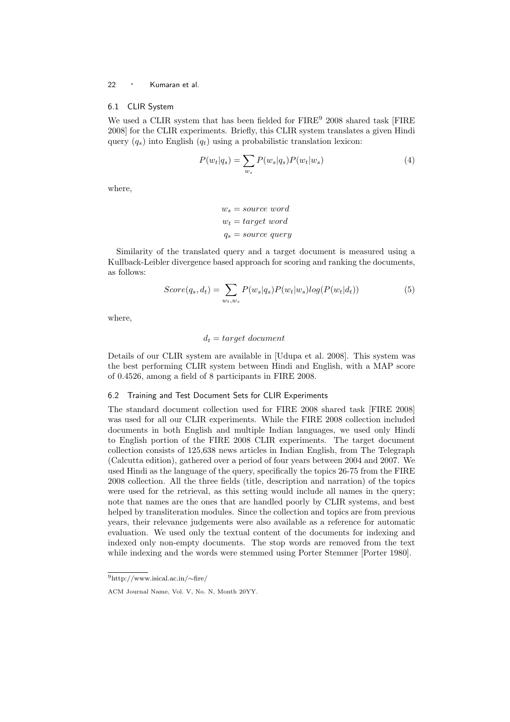## 6.1 CLIR System

We used a CLIR system that has been fielded for  $\text{FIRE}^9$  2008 shared task [FIRE 2008] for the CLIR experiments. Briefly, this CLIR system translates a given Hindi query  $(q_s)$  into English  $(q_t)$  using a probabilistic translation lexicon:

$$
P(w_t|q_s) = \sum_{w_s} P(w_s|q_s)P(w_t|w_s)
$$
\n<sup>(4)</sup>

where,

$$
w_s = source\ word
$$
  

$$
w_t = target\ word
$$
  

$$
q_s = source\ query
$$

Similarity of the translated query and a target document is measured using a Kullback-Leibler divergence based approach for scoring and ranking the documents, as follows:

$$
Score(q_s, d_t) = \sum_{w_t, w_s} P(w_s|q_s) P(w_t|w_s) log(P(w_t|d_t))
$$
\n<sup>(5)</sup>

where,

## $d_t = target document$

Details of our CLIR system are available in [Udupa et al. 2008]. This system was the best performing CLIR system between Hindi and English, with a MAP score of 0.4526, among a field of 8 participants in FIRE 2008.

#### 6.2 Training and Test Document Sets for CLIR Experiments

The standard document collection used for FIRE 2008 shared task [FIRE 2008] was used for all our CLIR experiments. While the FIRE 2008 collection included documents in both English and multiple Indian languages, we used only Hindi to English portion of the FIRE 2008 CLIR experiments. The target document collection consists of 125,638 news articles in Indian English, from The Telegraph (Calcutta edition), gathered over a period of four years between 2004 and 2007. We used Hindi as the language of the query, specifically the topics 26-75 from the FIRE 2008 collection. All the three fields (title, description and narration) of the topics were used for the retrieval, as this setting would include all names in the query; note that names are the ones that are handled poorly by CLIR systems, and best helped by transliteration modules. Since the collection and topics are from previous years, their relevance judgements were also available as a reference for automatic evaluation. We used only the textual content of the documents for indexing and indexed only non-empty documents. The stop words are removed from the text while indexing and the words were stemmed using Porter Stemmer [Porter 1980].

<sup>9</sup>http://www.isical.ac.in/∼fire/

ACM Journal Name, Vol. V, No. N, Month 20YY.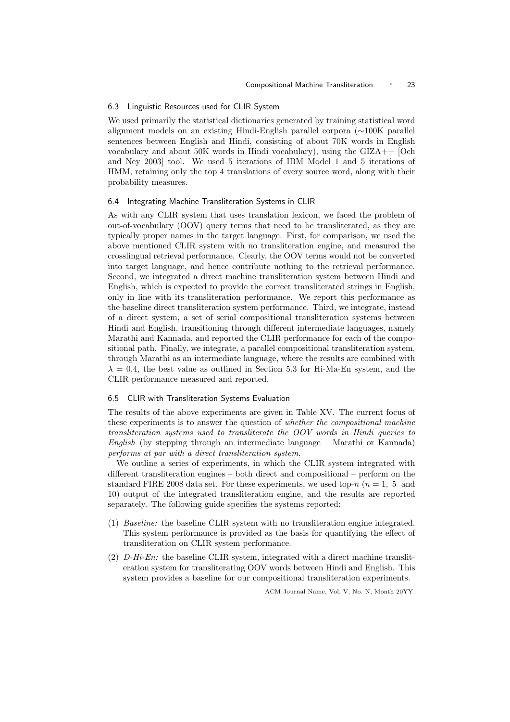#### 6.3 Linguistic Resources used for CLIR System

We used primarily the statistical dictionaries generated by training statistical word alignment models on an existing Hindi-English parallel corpora (∼100K parallel sentences between English and Hindi, consisting of about 70K words in English vocabulary and about 50K words in Hindi vocabulary), using the GIZA++ [Och and Ney 2003] tool. We used 5 iterations of IBM Model 1 and 5 iterations of HMM, retaining only the top 4 translations of every source word, along with their probability measures.

## 6.4 Integrating Machine Transliteration Systems in CLIR

As with any CLIR system that uses translation lexicon, we faced the problem of out-of-vocabulary (OOV) query terms that need to be transliterated, as they are typically proper names in the target language. First, for comparison, we used the above mentioned CLIR system with no transliteration engine, and measured the crosslingual retrieval performance. Clearly, the OOV terms would not be converted into target language, and hence contribute nothing to the retrieval performance. Second, we integrated a direct machine transliteration system between Hindi and English, which is expected to provide the correct transliterated strings in English, only in line with its transliteration performance. We report this performance as the baseline direct transliteration system performance. Third, we integrate, instead of a direct system, a set of serial compositional transliteration systems between Hindi and English, transitioning through different intermediate languages, namely Marathi and Kannada, and reported the CLIR performance for each of the compositional path. Finally, we integrate, a parallel compositional transliteration system, through Marathi as an intermediate language, where the results are combined with  $\lambda = 0.4$ , the best value as outlined in Section 5.3 for Hi-Ma-En system, and the CLIR performance measured and reported.

## 6.5 CLIR with Transliteration Systems Evaluation

The results of the above experiments are given in Table XV. The current focus of these experiments is to answer the question of *whether the compositional machine transliteration systems used to transliterate the OOV words in Hindi queries to English* (by stepping through an intermediate language – Marathi or Kannada) *performs at par with a direct transliteration system*.

We outline a series of experiments, in which the CLIR system integrated with different transliteration engines – both direct and compositional – perform on the standard FIRE 2008 data set. For these experiments, we used top-n ( $n = 1, 5$ ) and 10) output of the integrated transliteration engine, and the results are reported separately. The following guide specifies the systems reported:

- (1) *Baseline:* the baseline CLIR system with no transliteration engine integrated. This system performance is provided as the basis for quantifying the effect of transliteration on CLIR system performance.
- (2) *D-Hi-En:* the baseline CLIR system, integrated with a direct machine transliteration system for transliterating OOV words between Hindi and English. This system provides a baseline for our compositional transliteration experiments.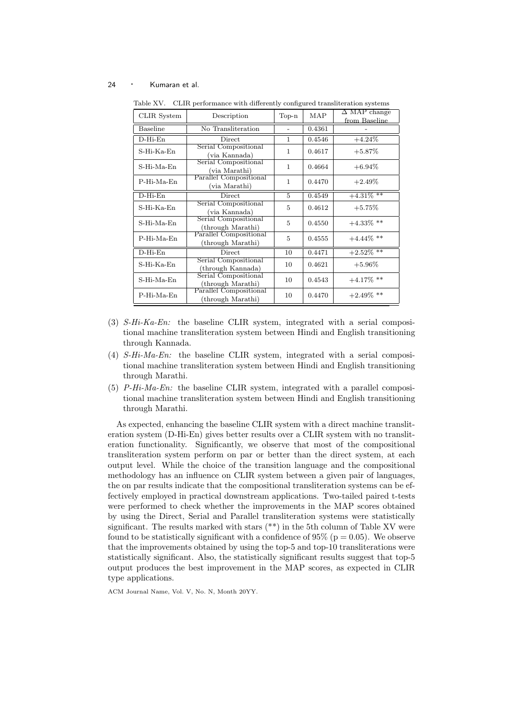| CLIR System     | Description                                 | $Top-n$      | MAP    | $\Delta$ MAP change<br>from Baseline |
|-----------------|---------------------------------------------|--------------|--------|--------------------------------------|
| <b>Baseline</b> | No Transliteration                          |              | 0.4361 |                                      |
| $D$ -Hi-En      | <b>Direct</b>                               | $\mathbf{1}$ | 0.4546 | $+4.24%$                             |
| S-Hi-Ka-En      | Serial Compositional<br>(via Kannada)       | 1            | 0.4617 | $+5.87\%$                            |
| $S-Hi-Ma-Fn$    | Serial Compositional<br>(via Marathi)       |              | 0.4664 | $+6.94\%$                            |
| $P-Hi-Ma-En$    | Parallel Compositional<br>(via Marathi)     | 1            | 0.4470 | $+2.49\%$                            |
| $D$ -Hi-En      | <b>Direct</b>                               | 5            | 0.4549 | $+4.31\%$ <sup>**</sup>              |
| $S-Hi-Ka-En$    | Serial Compositional<br>(via Kannada)       | 5            | 0.4612 | $+5.75%$                             |
| S-Hi-Ma-En      | Serial Compositional<br>(through Marathi)   | 5            | 0.4550 | $+4.33\%$ **                         |
| $P-Hi-Ma-Fn$    | Parallel Compositional<br>(through Marathi) | 5            | 0.4555 | $+4.44\%$ **                         |
| $D$ -Hi-En      | <b>Direct</b>                               | 10           | 0.4471 | $+2.52\%$ **                         |
| $S-Hi-Ka-En$    | Serial Compositional<br>(through Kannada)   | 10           | 0.4621 | $+5.96\%$                            |
| S-Hi-Ma-En      | Serial Compositional<br>(through Marathi)   | 10           | 0.4543 | $+4.17\%$ **                         |
| P-Hi-Ma-En      | Parallel Compositional<br>(through Marathi) | 10           | 0.4470 | $+2.49\%$ **                         |

Table XV. CLIR performance with differently configured transliteration systems

- (3) *S-Hi-Ka-En:* the baseline CLIR system, integrated with a serial compositional machine transliteration system between Hindi and English transitioning through Kannada.
- (4) *S-Hi-Ma-En:* the baseline CLIR system, integrated with a serial compositional machine transliteration system between Hindi and English transitioning through Marathi.
- (5) *P-Hi-Ma-En:* the baseline CLIR system, integrated with a parallel compositional machine transliteration system between Hindi and English transitioning through Marathi.

As expected, enhancing the baseline CLIR system with a direct machine transliteration system (D-Hi-En) gives better results over a CLIR system with no transliteration functionality. Significantly, we observe that most of the compositional transliteration system perform on par or better than the direct system, at each output level. While the choice of the transition language and the compositional methodology has an influence on CLIR system between a given pair of languages, the on par results indicate that the compositional transliteration systems can be effectively employed in practical downstream applications. Two-tailed paired t-tests were performed to check whether the improvements in the MAP scores obtained by using the Direct, Serial and Parallel transliteration systems were statistically significant. The results marked with stars  $(**)$  in the 5th column of Table XV were found to be statistically significant with a confidence of 95% ( $p = 0.05$ ). We observe that the improvements obtained by using the top-5 and top-10 transliterations were statistically significant. Also, the statistically significant results suggest that top-5 output produces the best improvement in the MAP scores, as expected in CLIR type applications.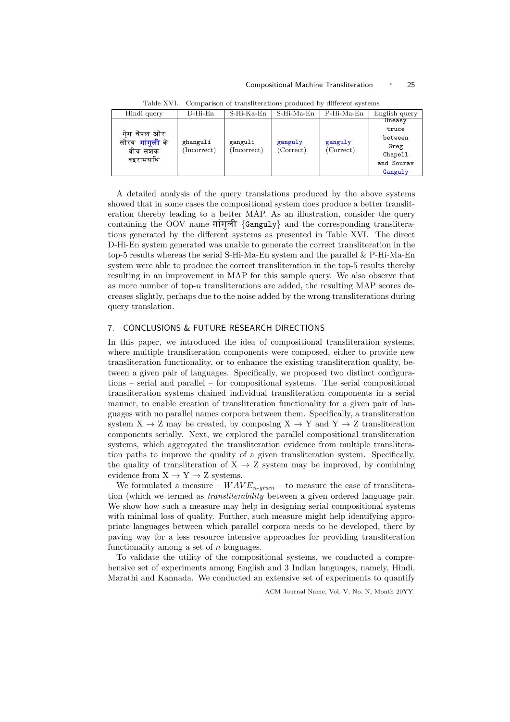#### Compositional Machine Transliteration • 25

| Hindi query                                                               | $D$ -Hi-En  | S-Hi-Ka-En             | S-Hi-Ma-En           | $P-Hi-Ma-En$         | English query |
|---------------------------------------------------------------------------|-------------|------------------------|----------------------|----------------------|---------------|
| गेग चैपल और<br>सौरव <b>गांगुली</b> के<br>ghanguli<br>बीच सशंक<br>वइरामसधि |             | ganguli<br>(Incorrect) | ganguly<br>(Correct) | ganguly<br>(Correct) | Uneasy        |
|                                                                           |             |                        |                      |                      | truce         |
|                                                                           |             |                        |                      |                      | between       |
|                                                                           | (Incorrect) |                        |                      |                      | Greg          |
|                                                                           |             |                        |                      |                      | Chapell       |
|                                                                           |             |                        |                      |                      | and Sourav    |
|                                                                           |             |                        |                      |                      | Ganguly       |

Table XVI. Comparison of transliterations produced by different systems

A detailed analysis of the query translations produced by the above systems showed that in some cases the compositional system does produce a better transliteration thereby leading to a better MAP. As an illustration, consider the query containing the OOV name  $\pi$  $\eta$  {Ganguly} and the corresponding transliterations generated by the different systems as presented in Table XVI. The direct D-Hi-En system generated was unable to generate the correct transliteration in the top-5 results whereas the serial S-Hi-Ma-En system and the parallel & P-Hi-Ma-En system were able to produce the correct transliteration in the top-5 results thereby resulting in an improvement in MAP for this sample query. We also observe that as more number of top- $n$  transliterations are added, the resulting MAP scores decreases slightly, perhaps due to the noise added by the wrong transliterations during query translation.

# 7. CONCLUSIONS & FUTURE RESEARCH DIRECTIONS

In this paper, we introduced the idea of compositional transliteration systems, where multiple transliteration components were composed, either to provide new transliteration functionality, or to enhance the existing transliteration quality, between a given pair of languages. Specifically, we proposed two distinct configurations – serial and parallel – for compositional systems. The serial compositional transliteration systems chained individual transliteration components in a serial manner, to enable creation of transliteration functionality for a given pair of languages with no parallel names corpora between them. Specifically, a transliteration system  $X \to Z$  may be created, by composing  $X \to Y$  and  $Y \to Z$  transliteration components serially. Next, we explored the parallel compositional transliteration systems, which aggregated the transliteration evidence from multiple transliteration paths to improve the quality of a given transliteration system. Specifically, the quality of transliteration of  $X \rightarrow Z$  system may be improved, by combining evidence from  $X \to Y \to Z$  systems.

We formulated a measure –  $WAVE_{n-gram}$  – to measure the ease of transliteration (which we termed as *transliterability* between a given ordered language pair. We show how such a measure may help in designing serial compositional systems with minimal loss of quality. Further, such measure might help identifying appropriate languages between which parallel corpora needs to be developed, there by paving way for a less resource intensive approaches for providing transliteration functionality among a set of  $n$  languages.

To validate the utility of the compositional systems, we conducted a comprehensive set of experiments among English and 3 Indian languages, namely, Hindi, Marathi and Kannada. We conducted an extensive set of experiments to quantify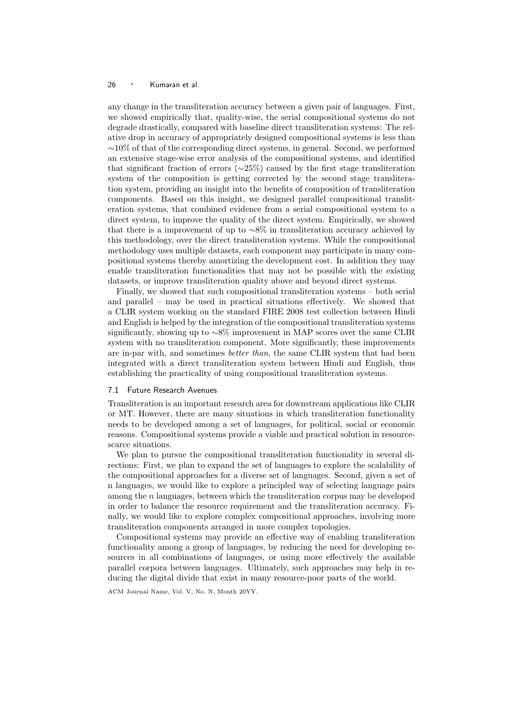any change in the transliteration accuracy between a given pair of languages. First, we showed empirically that, quality-wise, the serial compositional systems do not degrade drastically, compared with baseline direct transliteration systems: The relative drop in accuracy of appropriately designed compositional systems is less than ∼10% of that of the corresponding direct systems, in general. Second, we performed an extensive stage-wise error analysis of the compositional systems, and identified that significant fraction of errors (∼25%) caused by the first stage transliteration system of the composition is getting corrected by the second stage transliteration system, providing an insight into the benefits of composition of transliteration components. Based on this insight, we designed parallel compositional transliteration systems, that combined evidence from a serial compositional system to a direct system, to improve the quality of the direct system. Empirically, we showed that there is a improvement of up to ∼8% in transliteration accuracy achieved by this methodology, over the direct transliteration systems. While the compositional methodology uses multiple datasets, each component may participate in many compositional systems thereby amortizing the development cost. In addition they may enable transliteration functionalities that may not be possible with the existing datasets, or improve transliteration quality above and beyond direct systems.

Finally, we showed that such compositional transliteration systems – both serial and parallel – may be used in practical situations effectively. We showed that a CLIR system working on the standard FIRE 2008 test collection between Hindi and English is helped by the integration of the compositional transliteration systems significantly, showing up to ∼8% improvement in MAP scores over the same CLIR system with no transliteration component. More significantly, these improvements are in-par with, and sometimes *better than*, the same CLIR system that had been integrated with a direct transliteration system between Hindi and English, thus establishing the practicality of using compositional transliteration systems.

## 7.1 Future Research Avenues

Transliteration is an important research area for downstream applications like CLIR or MT. However, there are many situations in which transliteration functionality needs to be developed among a set of languages, for political, social or economic reasons. Compositional systems provide a viable and practical solution in resourcescarce situations.

We plan to pursue the compositional transliteration functionality in several directions: First, we plan to expand the set of languages to explore the scalability of the compositional approaches for a diverse set of languages. Second, given a set of n languages, we would like to explore a principled way of selecting language pairs among the  $n$  languages, between which the transliteration corpus may be developed in order to balance the resource requirement and the transliteration accuracy. Finally, we would like to explore complex compositional approaches, involving more transliteration components arranged in more complex topologies.

Compositional systems may provide an effective way of enabling transliteration functionality among a group of languages, by reducing the need for developing resources in all combinations of languages, or using more effectively the available parallel corpora between languages. Ultimately, such approaches may help in reducing the digital divide that exist in many resource-poor parts of the world.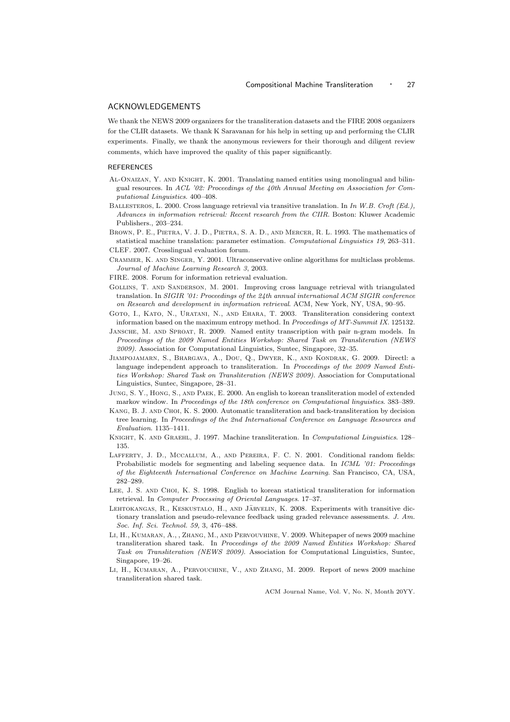## ACKNOWLEDGEMENTS

We thank the NEWS 2009 organizers for the transliteration datasets and the FIRE 2008 organizers for the CLIR datasets. We thank K Saravanan for his help in setting up and performing the CLIR experiments. Finally, we thank the anonymous reviewers for their thorough and diligent review comments, which have improved the quality of this paper significantly.

#### **REFERENCES**

- Al-Onaizan, Y. and Knight, K. 2001. Translating named entities using monolingual and bilingual resources. In *ACL '02: Proceedings of the 40th Annual Meeting on Association for Computational Linguistics*. 400–408.
- Ballesteros, L. 2000. Cross language retrieval via transitive translation. In *In W.B. Croft (Ed.), Advances in information retrieval: Recent research from the CIIR*. Boston: Kluwer Academic Publishers., 203–234.
- Brown, P. E., Pietra, V. J. D., Pietra, S. A. D., and Mercer, R. L. 1993. The mathematics of statistical machine translation: parameter estimation. *Computational Linguistics 19*, 263–311. CLEF. 2007. Crosslingual evaluation forum.
- Crammer, K. and Singer, Y. 2001. Ultraconservative online algorithms for multiclass problems.
- *Journal of Machine Learning Research 3*, 2003.
- FIRE. 2008. Forum for information retrieval evaluation.
- Gollins, T. and Sanderson, M. 2001. Improving cross language retrieval with triangulated translation. In *SIGIR '01: Proceedings of the 24th annual international ACM SIGIR conference on Research and development in information retrieval*. ACM, New York, NY, USA, 90–95.
- Goto, I., Kato, N., Uratani, N., and Ehara, T. 2003. Transliteration considering context information based on the maximum entropy method. In *Proceedings of MT-Summit IX*. 125132.
- JANSCHE, M. AND SPROAT, R. 2009. Named entity transcription with pair n-gram models. In *Proceedings of the 2009 Named Entities Workshop: Shared Task on Transliteration (NEWS 2009)*. Association for Computational Linguistics, Suntec, Singapore, 32–35.
- Jiampojamarn, S., Bhargava, A., Dou, Q., Dwyer, K., and Kondrak, G. 2009. Directl: a language independent approach to transliteration. In *Proceedings of the 2009 Named Entities Workshop: Shared Task on Transliteration (NEWS 2009)*. Association for Computational Linguistics, Suntec, Singapore, 28–31.
- Jung, S. Y., Hong, S., and Paek, E. 2000. An english to korean transliteration model of extended markov window. In *Proceedings of the 18th conference on Computational linguistics*. 383–389.
- Kang, B. J. and Choi, K. S. 2000. Automatic transliteration and back-transliteration by decision tree learning. In *Proceedings of the 2nd International Conference on Language Resources and Evaluation*. 1135–1411.
- Knight, K. and Graehl, J. 1997. Machine transliteration. In *Computational Linguistics*. 128– 135.
- Lafferty, J. D., Mccallum, A., and Pereira, F. C. N. 2001. Conditional random fields: Probabilistic models for segmenting and labeling sequence data. In *ICML '01: Proceedings of the Eighteenth International Conference on Machine Learning*. San Francisco, CA, USA, 282–289.
- Lee, J. S. and Choi, K. S. 1998. English to korean statistical transliteration for information retrieval. In *Computer Processing of Oriental Languages*. 17–37.
- LEHTOKANGAS, R., KESKUSTALO, H., AND JÄRVELIN, K. 2008. Experiments with transitive dictionary translation and pseudo-relevance feedback using graded relevance assessments. *J. Am. Soc. Inf. Sci. Technol. 59,* 3, 476–488.
- Li, H., Kumaran, A., , Zhang, M., and Pervouvhine, V. 2009. Whitepaper of news 2009 machine transliteration shared task. In *Proceedings of the 2009 Named Entities Workshop: Shared Task on Transliteration (NEWS 2009)*. Association for Computational Linguistics, Suntec, Singapore, 19–26.
- Li, H., Kumaran, A., Pervouchine, V., and Zhang, M. 2009. Report of news 2009 machine transliteration shared task.